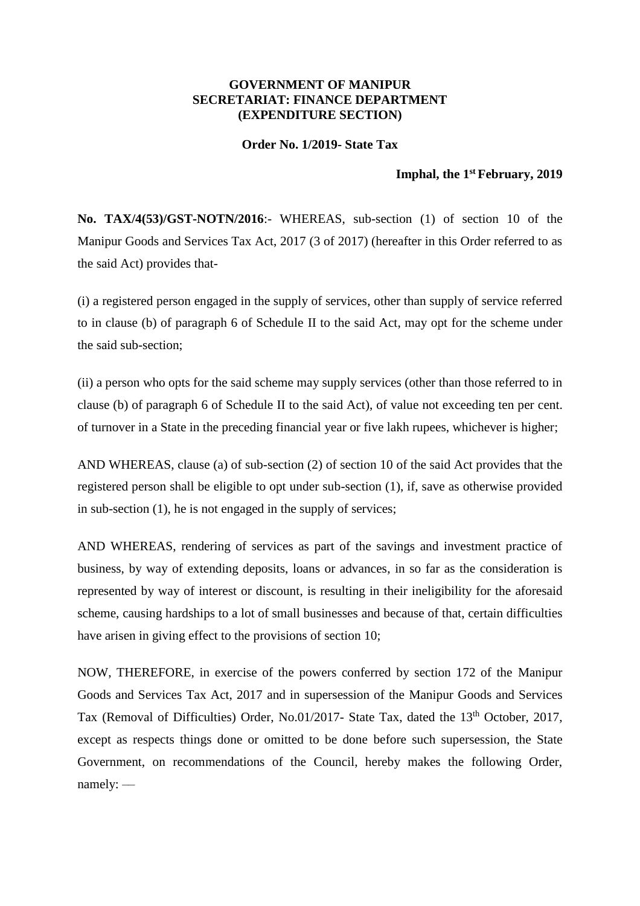## **GOVERNMENT OF MANIPUR SECRETARIAT: FINANCE DEPARTMENT (EXPENDITURE SECTION)**

## **Order No. 1/2019- State Tax**

## **Imphal, the 1 st February, 2019**

**No. TAX/4(53)/GST-NOTN/2016**:- WHEREAS, sub-section (1) of section 10 of the Manipur Goods and Services Tax Act, 2017 (3 of 2017) (hereafter in this Order referred to as the said Act) provides that-

(i) a registered person engaged in the supply of services, other than supply of service referred to in clause (b) of paragraph 6 of Schedule II to the said Act, may opt for the scheme under the said sub-section;

(ii) a person who opts for the said scheme may supply services (other than those referred to in clause (b) of paragraph 6 of Schedule II to the said Act), of value not exceeding ten per cent. of turnover in a State in the preceding financial year or five lakh rupees, whichever is higher;

AND WHEREAS, clause (a) of sub-section (2) of section 10 of the said Act provides that the registered person shall be eligible to opt under sub-section (1), if, save as otherwise provided in sub-section (1), he is not engaged in the supply of services;

AND WHEREAS, rendering of services as part of the savings and investment practice of business, by way of extending deposits, loans or advances, in so far as the consideration is represented by way of interest or discount, is resulting in their ineligibility for the aforesaid scheme, causing hardships to a lot of small businesses and because of that, certain difficulties have arisen in giving effect to the provisions of section 10;

NOW, THEREFORE, in exercise of the powers conferred by section 172 of the Manipur Goods and Services Tax Act, 2017 and in supersession of the Manipur Goods and Services Tax (Removal of Difficulties) Order, No.01/2017- State Tax, dated the 13<sup>th</sup> October, 2017, except as respects things done or omitted to be done before such supersession, the State Government, on recommendations of the Council, hereby makes the following Order, namely: ––